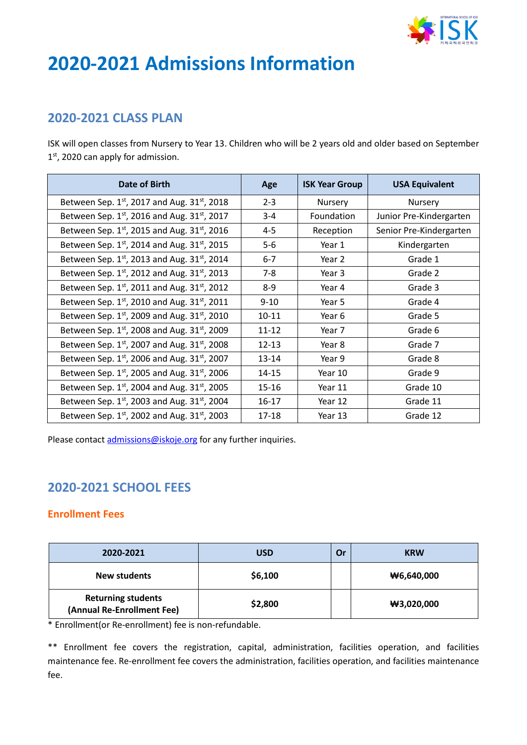

# **2020-2021 Admissions Information**

## **2020-2021 CLASS PLAN**

ISK will open classes from Nursery to Year 13. Children who will be 2 years old and older based on September 1st, 2020 can apply for admission.

| Date of Birth                                    | Age       | <b>ISK Year Group</b> | <b>USA Equivalent</b>   |
|--------------------------------------------------|-----------|-----------------------|-------------------------|
| Between Sep. 1st, 2017 and Aug. 31st, 2018       | $2 - 3$   | Nursery               | Nursery                 |
| Between Sep. 1st, 2016 and Aug. 31st, 2017       | $3 - 4$   | Foundation            | Junior Pre-Kindergarten |
| Between Sep. 1st, 2015 and Aug. 31st, 2016       | $4 - 5$   | Reception             | Senior Pre-Kindergarten |
| Between Sep. $1^{st}$ , 2014 and Aug. 31st, 2015 | $5-6$     | Year 1                | Kindergarten            |
| Between Sep. $1^{st}$ , 2013 and Aug. 31st, 2014 | $6-7$     | Year 2                | Grade 1                 |
| Between Sep. $1^{st}$ , 2012 and Aug. 31st, 2013 | $7 - 8$   | Year 3                | Grade 2                 |
| Between Sep. $1^{st}$ , 2011 and Aug. 31st, 2012 | $8-9$     | Year 4                | Grade 3                 |
| Between Sep. 1st, 2010 and Aug. 31st, 2011       | $9 - 10$  | Year 5                | Grade 4                 |
| Between Sep. 1st, 2009 and Aug. 31st, 2010       | $10 - 11$ | Year 6                | Grade 5                 |
| Between Sep. 1st, 2008 and Aug. 31st, 2009       | $11 - 12$ | Year 7                | Grade 6                 |
| Between Sep. $1^{st}$ , 2007 and Aug. 31st, 2008 | $12 - 13$ | Year 8                | Grade 7                 |
| Between Sep. 1st, 2006 and Aug. 31st, 2007       | 13-14     | Year 9                | Grade 8                 |
| Between Sep. $1^{st}$ , 2005 and Aug. 31st, 2006 | $14 - 15$ | Year 10               | Grade 9                 |
| Between Sep. $1^{st}$ , 2004 and Aug. 31st, 2005 | $15 - 16$ | Year 11               | Grade 10                |
| Between Sep. $1^{st}$ , 2003 and Aug. 31st, 2004 | $16 - 17$ | Year 12               | Grade 11                |
| Between Sep. $1^{st}$ , 2002 and Aug. 31st, 2003 | $17 - 18$ | Year 13               | Grade 12                |

Please contact *admissions@iskoje.org* for any further inquiries.

# **2020-2021 SCHOOL FEES**

#### **Enrollment Fees**

| 2020-2021                                               | USD     | Or | <b>KRW</b>    |
|---------------------------------------------------------|---------|----|---------------|
| New students                                            | \$6,100 |    | $\#6,640,000$ |
| <b>Returning students</b><br>(Annual Re-Enrollment Fee) | \$2,800 |    | $\#3,020,000$ |

\* Enrollment(or Re-enrollment) fee is non-refundable.

\*\* Enrollment fee covers the registration, capital, administration, facilities operation, and facilities maintenance fee. Re-enrollment fee covers the administration, facilities operation, and facilities maintenance fee.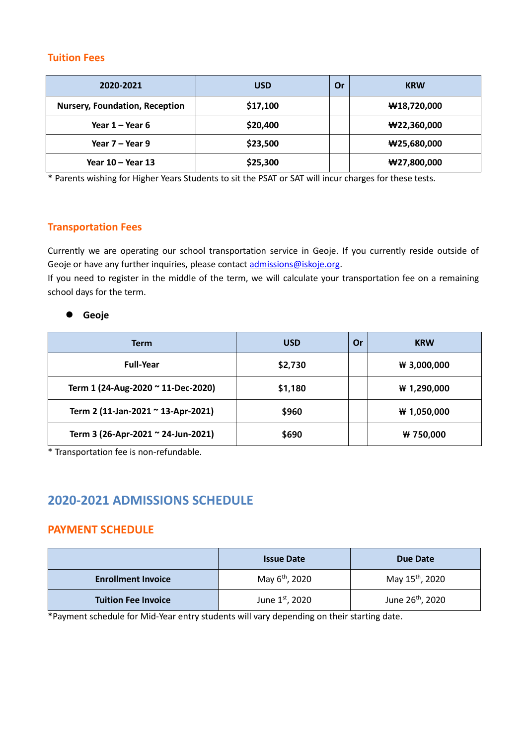#### **Tuition Fees**

| 2020-2021                             | <b>USD</b> | Or | <b>KRW</b>                       |
|---------------------------------------|------------|----|----------------------------------|
| <b>Nursery, Foundation, Reception</b> | \$17,100   |    | $\textbf{W}18,720,000$           |
| Year $1 -$ Year 6                     | \$20,400   |    | $\#22,360,000$                   |
| Year $7 -$ Year 9                     | \$23,500   |    | $\textcolor{blue}{\textbf{000}}$ |
| Year $10 -$ Year 13                   | \$25,300   |    | $\#27,800,000$                   |

\* Parents wishing for Higher Years Students to sit the PSAT or SAT will incur charges for these tests.

#### **Transportation Fees**

Currently we are operating our school transportation service in Geoje. If you currently reside outside of Geoje or have any further inquiries, please contact [admissions@iskoje.org.](mailto:admissions@iskoje.org)

If you need to register in the middle of the term, we will calculate your transportation fee on a remaining school days for the term.

#### **Geoje**

| Term                               | <b>USD</b> | Or | <b>KRW</b>    |
|------------------------------------|------------|----|---------------|
| <b>Full-Year</b>                   | \$2,730    |    | $W$ 3,000,000 |
| Term 1 (24-Aug-2020 ~ 11-Dec-2020) | \$1,180    |    | # 1,290,000   |
| Term 2 (11-Jan-2021 ~ 13-Apr-2021) | \$960      |    | # 1,050,000   |
| Term 3 (26-Apr-2021 ~ 24-Jun-2021) | \$690      |    | ₩ 750,000     |

\* Transportation fee is non-refundable.

# **2020-2021 ADMISSIONS SCHEDULE**

#### **PAYMENT SCHEDULE**

|                            | <b>Issue Date</b>          | Due Date                     |
|----------------------------|----------------------------|------------------------------|
| <b>Enrollment Invoice</b>  | May 6 <sup>th</sup> , 2020 | May 15 <sup>th</sup> , 2020  |
| <b>Tuition Fee Invoice</b> | June 1st, 2020             | June 26 <sup>th</sup> , 2020 |

\*Payment schedule for Mid-Year entry students will vary depending on their starting date.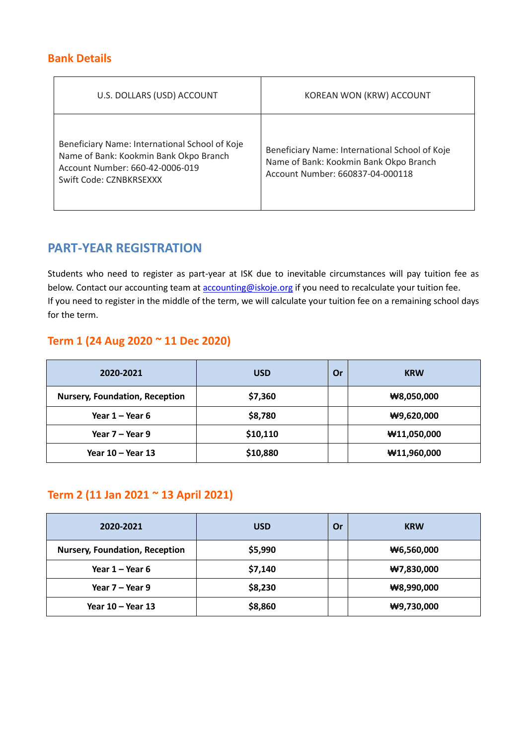## **Bank Details**

| U.S. DOLLARS (USD) ACCOUNT                                                                                                                             | KOREAN WON (KRW) ACCOUNT                                                                                                     |
|--------------------------------------------------------------------------------------------------------------------------------------------------------|------------------------------------------------------------------------------------------------------------------------------|
| Beneficiary Name: International School of Koje<br>Name of Bank: Kookmin Bank Okpo Branch<br>Account Number: 660-42-0006-019<br>Swift Code: CZNBKRSEXXX | Beneficiary Name: International School of Koje<br>Name of Bank: Kookmin Bank Okpo Branch<br>Account Number: 660837-04-000118 |

## **PART-YEAR REGISTRATION**

Students who need to register as part-year at ISK due to inevitable circumstances will pay tuition fee as below. Contact our accounting team at **accounting@iskoje.org** if you need to recalculate your tuition fee. If you need to register in the middle of the term, we will calculate your tuition fee on a remaining school days for the term.

## **Term 1 (24 Aug 2020 ~ 11 Dec 2020)**

| 2020-2021                             | <b>USD</b> | Or | <b>KRW</b>             |
|---------------------------------------|------------|----|------------------------|
| <b>Nursery, Foundation, Reception</b> | \$7,360    |    | #8,050,000             |
| Year $1 -$ Year 6                     | \$8,780    |    | $\#9,620,000$          |
| Year $7 -$ Year 9                     | \$10,110   |    | $\textbf{W}11,050,000$ |
| Year $10 -$ Year 13                   | \$10,880   |    | $\textbf{W}11,960,000$ |

## **Term 2 (11 Jan 2021 ~ 13 April 2021)**

| 2020-2021                             | <b>USD</b> | Or | <b>KRW</b>    |
|---------------------------------------|------------|----|---------------|
| <b>Nursery, Foundation, Reception</b> | \$5,990    |    | $\#6,560,000$ |
| Year $1 -$ Year 6                     | \$7,140    |    | #7,830,000    |
| Year 7 – Year 9                       | \$8,230    |    | #8,990,000    |
| Year 10 – Year 13                     | \$8,860    |    | $\#9,730,000$ |